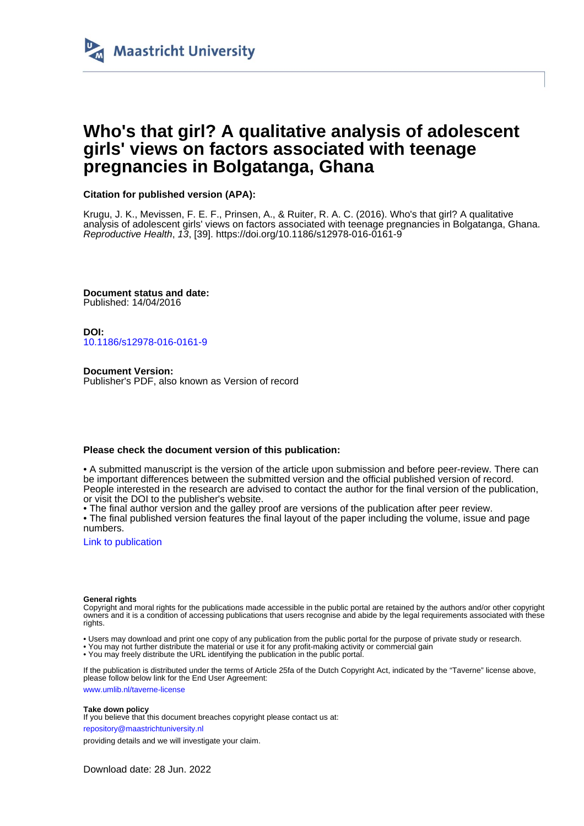

# **Who's that girl? A qualitative analysis of adolescent girls' views on factors associated with teenage pregnancies in Bolgatanga, Ghana**

# **Citation for published version (APA):**

Krugu, J. K., Mevissen, F. E. F., Prinsen, A., & Ruiter, R. A. C. (2016). Who's that girl? A qualitative analysis of adolescent girls' views on factors associated with teenage pregnancies in Bolgatanga, Ghana. Reproductive Health, 13, [39].<https://doi.org/10.1186/s12978-016-0161-9>

**Document status and date:** Published: 14/04/2016

**DOI:** [10.1186/s12978-016-0161-9](https://doi.org/10.1186/s12978-016-0161-9)

**Document Version:** Publisher's PDF, also known as Version of record

## **Please check the document version of this publication:**

• A submitted manuscript is the version of the article upon submission and before peer-review. There can be important differences between the submitted version and the official published version of record. People interested in the research are advised to contact the author for the final version of the publication, or visit the DOI to the publisher's website.

• The final author version and the galley proof are versions of the publication after peer review.

• The final published version features the final layout of the paper including the volume, issue and page numbers.

[Link to publication](https://cris.maastrichtuniversity.nl/en/publications/07fb8b3a-a46f-4847-a08d-75ec2a6d7f82)

#### **General rights**

Copyright and moral rights for the publications made accessible in the public portal are retained by the authors and/or other copyright owners and it is a condition of accessing publications that users recognise and abide by the legal requirements associated with these rights.

- Users may download and print one copy of any publication from the public portal for the purpose of private study or research.
- You may not further distribute the material or use it for any profit-making activity or commercial gain
- You may freely distribute the URL identifying the publication in the public portal

If the publication is distributed under the terms of Article 25fa of the Dutch Copyright Act, indicated by the "Taverne" license above, please follow below link for the End User Agreement:

www.umlib.nl/taverne-license

#### **Take down policy**

If you believe that this document breaches copyright please contact us at:

repository@maastrichtuniversity.nl

providing details and we will investigate your claim.

Download date: 28 Jun. 2022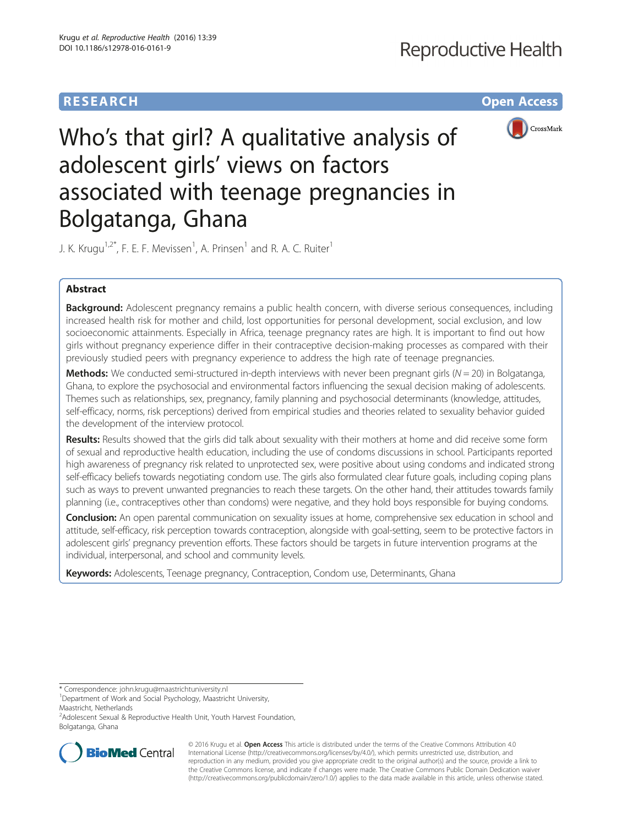# **RESEARCH CHE Open Access**



Who's that girl? A qualitative analysis of adolescent girls' views on factors associated with teenage pregnancies in Bolgatanga, Ghana

J. K. Krugu<sup>1,2\*</sup>, F. E. F. Mevissen<sup>1</sup>, A. Prinsen<sup>1</sup> and R. A. C. Ruiter<sup>1</sup>

# Abstract

Background: Adolescent pregnancy remains a public health concern, with diverse serious consequences, including increased health risk for mother and child, lost opportunities for personal development, social exclusion, and low socioeconomic attainments. Especially in Africa, teenage pregnancy rates are high. It is important to find out how girls without pregnancy experience differ in their contraceptive decision-making processes as compared with their previously studied peers with pregnancy experience to address the high rate of teenage pregnancies.

**Methods:** We conducted semi-structured in-depth interviews with never been pregnant girls ( $N = 20$ ) in Bolgatanga, Ghana, to explore the psychosocial and environmental factors influencing the sexual decision making of adolescents. Themes such as relationships, sex, pregnancy, family planning and psychosocial determinants (knowledge, attitudes, self-efficacy, norms, risk perceptions) derived from empirical studies and theories related to sexuality behavior guided the development of the interview protocol.

Results: Results showed that the girls did talk about sexuality with their mothers at home and did receive some form of sexual and reproductive health education, including the use of condoms discussions in school. Participants reported high awareness of pregnancy risk related to unprotected sex, were positive about using condoms and indicated strong self-efficacy beliefs towards negotiating condom use. The girls also formulated clear future goals, including coping plans such as ways to prevent unwanted pregnancies to reach these targets. On the other hand, their attitudes towards family planning (i.e., contraceptives other than condoms) were negative, and they hold boys responsible for buying condoms.

Conclusion: An open parental communication on sexuality issues at home, comprehensive sex education in school and attitude, self-efficacy, risk perception towards contraception, alongside with goal-setting, seem to be protective factors in adolescent girls' pregnancy prevention efforts. These factors should be targets in future intervention programs at the individual, interpersonal, and school and community levels.

Keywords: Adolescents, Teenage pregnancy, Contraception, Condom use, Determinants, Ghana

\* Correspondence: [john.krugu@maastrichtuniversity.nl](mailto:john.krugu@maastrichtuniversity.nl) <sup>1</sup>

<sup>2</sup> Adolescent Sexual & Reproductive Health Unit, Youth Harvest Foundation, Bolgatanga, Ghana



© 2016 Krugu et al. Open Access This article is distributed under the terms of the Creative Commons Attribution 4.0 International License [\(http://creativecommons.org/licenses/by/4.0/](http://creativecommons.org/licenses/by/4.0/)), which permits unrestricted use, distribution, and reproduction in any medium, provided you give appropriate credit to the original author(s) and the source, provide a link to the Creative Commons license, and indicate if changes were made. The Creative Commons Public Domain Dedication waiver [\(http://creativecommons.org/publicdomain/zero/1.0/](http://creativecommons.org/publicdomain/zero/1.0/)) applies to the data made available in this article, unless otherwise stated.

Department of Work and Social Psychology, Maastricht University, Maastricht, Netherlands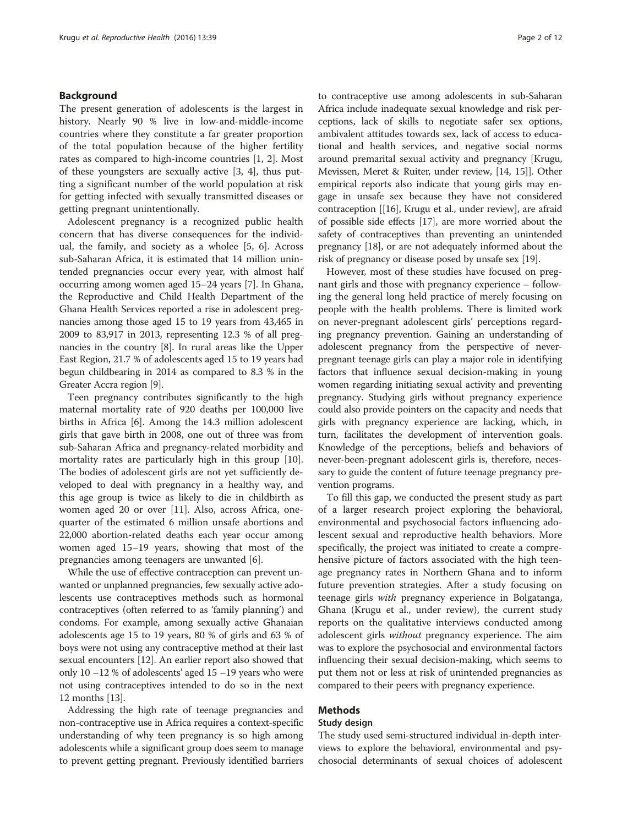### Background

The present generation of adolescents is the largest in history. Nearly 90 % live in low-and-middle-income countries where they constitute a far greater proportion of the total population because of the higher fertility rates as compared to high-income countries [[1](#page-11-0), [2\]](#page-11-0). Most of these youngsters are sexually active [[3, 4](#page-11-0)], thus putting a significant number of the world population at risk for getting infected with sexually transmitted diseases or getting pregnant unintentionally.

Adolescent pregnancy is a recognized public health concern that has diverse consequences for the individual, the family, and society as a wholee [\[5](#page-11-0), [6\]](#page-11-0). Across sub-Saharan Africa, it is estimated that 14 million unintended pregnancies occur every year, with almost half occurring among women aged 15–24 years [\[7](#page-11-0)]. In Ghana, the Reproductive and Child Health Department of the Ghana Health Services reported a rise in adolescent pregnancies among those aged 15 to 19 years from 43,465 in 2009 to 83,917 in 2013, representing 12.3 % of all pregnancies in the country [[8\]](#page-11-0). In rural areas like the Upper East Region, 21.7 % of adolescents aged 15 to 19 years had begun childbearing in 2014 as compared to 8.3 % in the Greater Accra region [[9](#page-11-0)].

Teen pregnancy contributes significantly to the high maternal mortality rate of 920 deaths per 100,000 live births in Africa [\[6](#page-11-0)]. Among the 14.3 million adolescent girls that gave birth in 2008, one out of three was from sub-Saharan Africa and pregnancy-related morbidity and mortality rates are particularly high in this group [\[10](#page-11-0)]. The bodies of adolescent girls are not yet sufficiently developed to deal with pregnancy in a healthy way, and this age group is twice as likely to die in childbirth as women aged 20 or over [[11](#page-11-0)]. Also, across Africa, onequarter of the estimated 6 million unsafe abortions and 22,000 abortion-related deaths each year occur among women aged 15–19 years, showing that most of the pregnancies among teenagers are unwanted [[6\]](#page-11-0).

While the use of effective contraception can prevent unwanted or unplanned pregnancies, few sexually active adolescents use contraceptives methods such as hormonal contraceptives (often referred to as 'family planning') and condoms. For example, among sexually active Ghanaian adolescents age 15 to 19 years, 80 % of girls and 63 % of boys were not using any contraceptive method at their last sexual encounters [[12](#page-11-0)]. An earlier report also showed that only 10 –12 % of adolescents' aged 15 –19 years who were not using contraceptives intended to do so in the next 12 months [\[13\]](#page-11-0).

Addressing the high rate of teenage pregnancies and non-contraceptive use in Africa requires a context-specific understanding of why teen pregnancy is so high among adolescents while a significant group does seem to manage to prevent getting pregnant. Previously identified barriers to contraceptive use among adolescents in sub-Saharan Africa include inadequate sexual knowledge and risk perceptions, lack of skills to negotiate safer sex options, ambivalent attitudes towards sex, lack of access to educational and health services, and negative social norms around premarital sexual activity and pregnancy [Krugu, Mevissen, Meret & Ruiter, under review, [[14, 15\]](#page-11-0)]. Other empirical reports also indicate that young girls may engage in unsafe sex because they have not considered contraception [[\[16\]](#page-11-0), Krugu et al., under review], are afraid of possible side effects [\[17](#page-11-0)], are more worried about the safety of contraceptives than preventing an unintended pregnancy [\[18\]](#page-11-0), or are not adequately informed about the risk of pregnancy or disease posed by unsafe sex [[19](#page-12-0)].

However, most of these studies have focused on pregnant girls and those with pregnancy experience – following the general long held practice of merely focusing on people with the health problems. There is limited work on never-pregnant adolescent girls' perceptions regarding pregnancy prevention. Gaining an understanding of adolescent pregnancy from the perspective of neverpregnant teenage girls can play a major role in identifying factors that influence sexual decision-making in young women regarding initiating sexual activity and preventing pregnancy. Studying girls without pregnancy experience could also provide pointers on the capacity and needs that girls with pregnancy experience are lacking, which, in turn, facilitates the development of intervention goals. Knowledge of the perceptions, beliefs and behaviors of never-been-pregnant adolescent girls is, therefore, necessary to guide the content of future teenage pregnancy prevention programs.

To fill this gap, we conducted the present study as part of a larger research project exploring the behavioral, environmental and psychosocial factors influencing adolescent sexual and reproductive health behaviors. More specifically, the project was initiated to create a comprehensive picture of factors associated with the high teenage pregnancy rates in Northern Ghana and to inform future prevention strategies. After a study focusing on teenage girls with pregnancy experience in Bolgatanga, Ghana (Krugu et al., under review), the current study reports on the qualitative interviews conducted among adolescent girls *without* pregnancy experience. The aim was to explore the psychosocial and environmental factors influencing their sexual decision-making, which seems to put them not or less at risk of unintended pregnancies as compared to their peers with pregnancy experience.

# Methods

#### Study design

The study used semi-structured individual in-depth interviews to explore the behavioral, environmental and psychosocial determinants of sexual choices of adolescent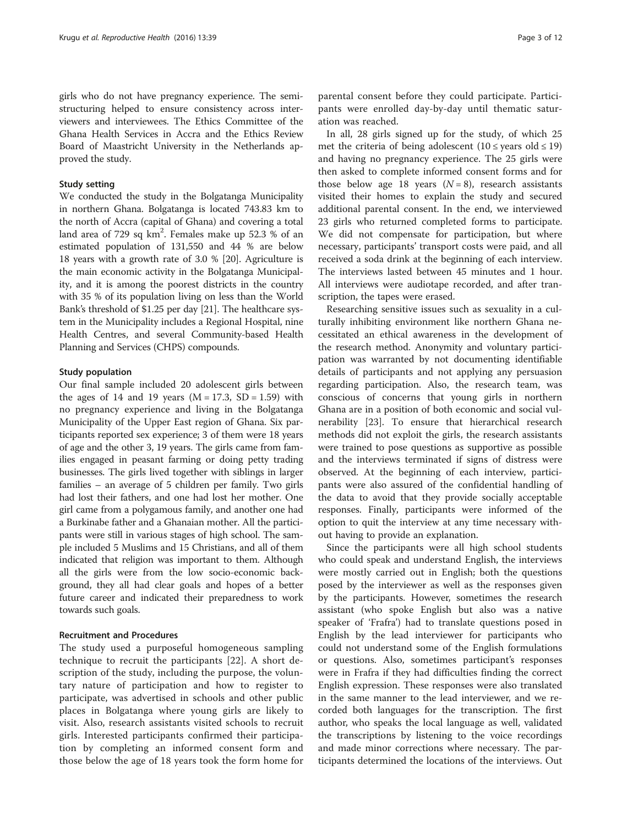girls who do not have pregnancy experience. The semistructuring helped to ensure consistency across interviewers and interviewees. The Ethics Committee of the Ghana Health Services in Accra and the Ethics Review Board of Maastricht University in the Netherlands approved the study.

### Study setting

We conducted the study in the Bolgatanga Municipality in northern Ghana. Bolgatanga is located 743.83 km to the north of Accra (capital of Ghana) and covering a total land area of 729 sq  $km^2$ . Females make up 52.3 % of an estimated population of 131,550 and 44 % are below 18 years with a growth rate of 3.0 % [\[20\]](#page-12-0). Agriculture is the main economic activity in the Bolgatanga Municipality, and it is among the poorest districts in the country with 35 % of its population living on less than the World Bank's threshold of \$1.25 per day [\[21\]](#page-12-0). The healthcare system in the Municipality includes a Regional Hospital, nine Health Centres, and several Community-based Health Planning and Services (CHPS) compounds.

#### Study population

Our final sample included 20 adolescent girls between the ages of 14 and 19 years  $(M = 17.3, SD = 1.59)$  with no pregnancy experience and living in the Bolgatanga Municipality of the Upper East region of Ghana. Six participants reported sex experience; 3 of them were 18 years of age and the other 3, 19 years. The girls came from families engaged in peasant farming or doing petty trading businesses. The girls lived together with siblings in larger families – an average of 5 children per family. Two girls had lost their fathers, and one had lost her mother. One girl came from a polygamous family, and another one had a Burkinabe father and a Ghanaian mother. All the participants were still in various stages of high school. The sample included 5 Muslims and 15 Christians, and all of them indicated that religion was important to them. Although all the girls were from the low socio-economic background, they all had clear goals and hopes of a better future career and indicated their preparedness to work towards such goals.

#### Recruitment and Procedures

The study used a purposeful homogeneous sampling technique to recruit the participants [[22\]](#page-12-0). A short description of the study, including the purpose, the voluntary nature of participation and how to register to participate, was advertised in schools and other public places in Bolgatanga where young girls are likely to visit. Also, research assistants visited schools to recruit girls. Interested participants confirmed their participation by completing an informed consent form and those below the age of 18 years took the form home for

parental consent before they could participate. Participants were enrolled day-by-day until thematic saturation was reached.

In all, 28 girls signed up for the study, of which 25 met the criteria of being adolescent ( $10 \le$  years old  $\le$  19) and having no pregnancy experience. The 25 girls were then asked to complete informed consent forms and for those below age 18 years  $(N = 8)$ , research assistants visited their homes to explain the study and secured additional parental consent. In the end, we interviewed 23 girls who returned completed forms to participate. We did not compensate for participation, but where necessary, participants' transport costs were paid, and all received a soda drink at the beginning of each interview. The interviews lasted between 45 minutes and 1 hour. All interviews were audiotape recorded, and after transcription, the tapes were erased.

Researching sensitive issues such as sexuality in a culturally inhibiting environment like northern Ghana necessitated an ethical awareness in the development of the research method. Anonymity and voluntary participation was warranted by not documenting identifiable details of participants and not applying any persuasion regarding participation. Also, the research team, was conscious of concerns that young girls in northern Ghana are in a position of both economic and social vulnerability [[23\]](#page-12-0). To ensure that hierarchical research methods did not exploit the girls, the research assistants were trained to pose questions as supportive as possible and the interviews terminated if signs of distress were observed. At the beginning of each interview, participants were also assured of the confidential handling of the data to avoid that they provide socially acceptable responses. Finally, participants were informed of the option to quit the interview at any time necessary without having to provide an explanation.

Since the participants were all high school students who could speak and understand English, the interviews were mostly carried out in English; both the questions posed by the interviewer as well as the responses given by the participants. However, sometimes the research assistant (who spoke English but also was a native speaker of 'Frafra') had to translate questions posed in English by the lead interviewer for participants who could not understand some of the English formulations or questions. Also, sometimes participant's responses were in Frafra if they had difficulties finding the correct English expression. These responses were also translated in the same manner to the lead interviewer, and we recorded both languages for the transcription. The first author, who speaks the local language as well, validated the transcriptions by listening to the voice recordings and made minor corrections where necessary. The participants determined the locations of the interviews. Out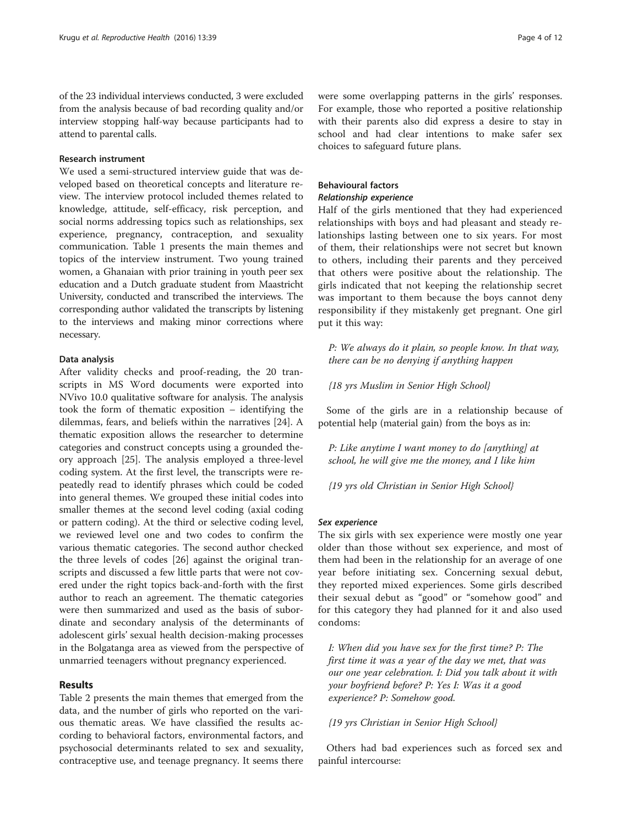of the 23 individual interviews conducted, 3 were excluded from the analysis because of bad recording quality and/or interview stopping half-way because participants had to attend to parental calls.

### Research instrument

We used a semi-structured interview guide that was developed based on theoretical concepts and literature review. The interview protocol included themes related to knowledge, attitude, self-efficacy, risk perception, and social norms addressing topics such as relationships, sex experience, pregnancy, contraception, and sexuality communication. Table [1](#page-5-0) presents the main themes and topics of the interview instrument. Two young trained women, a Ghanaian with prior training in youth peer sex education and a Dutch graduate student from Maastricht University, conducted and transcribed the interviews. The corresponding author validated the transcripts by listening to the interviews and making minor corrections where necessary.

#### Data analysis

After validity checks and proof-reading, the 20 transcripts in MS Word documents were exported into NVivo 10.0 qualitative software for analysis. The analysis took the form of thematic exposition – identifying the dilemmas, fears, and beliefs within the narratives [\[24\]](#page-12-0). A thematic exposition allows the researcher to determine categories and construct concepts using a grounded theory approach [\[25](#page-12-0)]. The analysis employed a three-level coding system. At the first level, the transcripts were repeatedly read to identify phrases which could be coded into general themes. We grouped these initial codes into smaller themes at the second level coding (axial coding or pattern coding). At the third or selective coding level, we reviewed level one and two codes to confirm the various thematic categories. The second author checked the three levels of codes [\[26\]](#page-12-0) against the original transcripts and discussed a few little parts that were not covered under the right topics back-and-forth with the first author to reach an agreement. The thematic categories were then summarized and used as the basis of subordinate and secondary analysis of the determinants of adolescent girls' sexual health decision-making processes in the Bolgatanga area as viewed from the perspective of unmarried teenagers without pregnancy experienced.

## Results

Table [2](#page-6-0) presents the main themes that emerged from the data, and the number of girls who reported on the various thematic areas. We have classified the results according to behavioral factors, environmental factors, and psychosocial determinants related to sex and sexuality, contraceptive use, and teenage pregnancy. It seems there

# Behavioural factors

## Relationship experience

Half of the girls mentioned that they had experienced relationships with boys and had pleasant and steady relationships lasting between one to six years. For most of them, their relationships were not secret but known to others, including their parents and they perceived that others were positive about the relationship. The girls indicated that not keeping the relationship secret was important to them because the boys cannot deny responsibility if they mistakenly get pregnant. One girl put it this way:

P: We always do it plain, so people know. In that way, there can be no denying if anything happen

{18 yrs Muslim in Senior High School}

Some of the girls are in a relationship because of potential help (material gain) from the boys as in:

P: Like anytime I want money to do [anything] at school, he will give me the money, and I like him

{19 yrs old Christian in Senior High School}

#### Sex experience

The six girls with sex experience were mostly one year older than those without sex experience, and most of them had been in the relationship for an average of one year before initiating sex. Concerning sexual debut, they reported mixed experiences. Some girls described their sexual debut as "good" or "somehow good" and for this category they had planned for it and also used condoms:

I: When did you have sex for the first time? P: The first time it was a year of the day we met, that was our one year celebration. I: Did you talk about it with your boyfriend before? P: Yes I: Was it a good experience? P: Somehow good.

#### {19 yrs Christian in Senior High School}

Others had bad experiences such as forced sex and painful intercourse: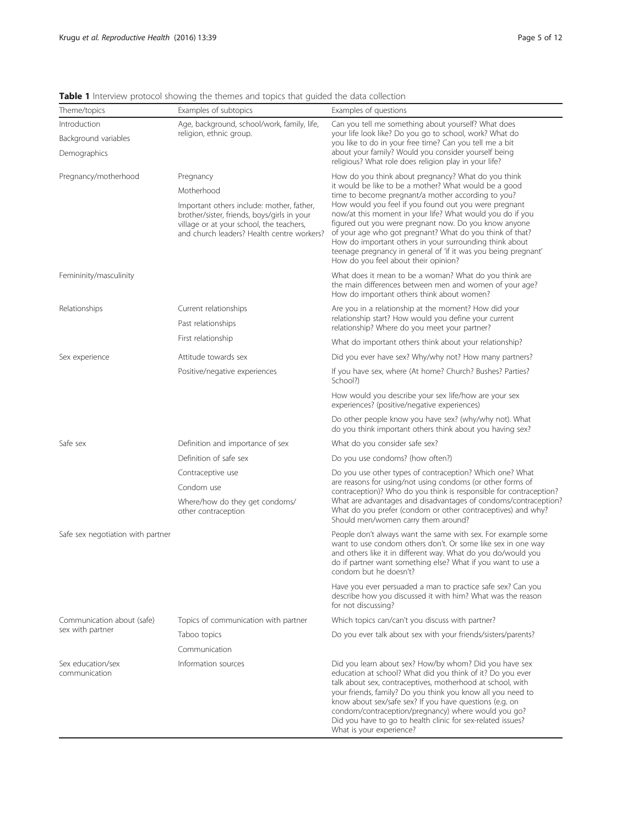| protocorphorming the themes and topics that gaid<br>Theme/topics | Examples of subtopics                                                                                                                                                              | Examples of questions                                                                                                                                                                                                                                                                                                                                                                                                                                                                                                                                                              |  |  |
|------------------------------------------------------------------|------------------------------------------------------------------------------------------------------------------------------------------------------------------------------------|------------------------------------------------------------------------------------------------------------------------------------------------------------------------------------------------------------------------------------------------------------------------------------------------------------------------------------------------------------------------------------------------------------------------------------------------------------------------------------------------------------------------------------------------------------------------------------|--|--|
| Introduction                                                     | Age, background, school/work, family, life,                                                                                                                                        | Can you tell me something about yourself? What does<br>your life look like? Do you go to school, work? What do                                                                                                                                                                                                                                                                                                                                                                                                                                                                     |  |  |
| Background variables                                             | religion, ethnic group.                                                                                                                                                            |                                                                                                                                                                                                                                                                                                                                                                                                                                                                                                                                                                                    |  |  |
| Demographics                                                     |                                                                                                                                                                                    | you like to do in your free time? Can you tell me a bit<br>about your family? Would you consider yourself being<br>religious? What role does religion play in your life?                                                                                                                                                                                                                                                                                                                                                                                                           |  |  |
| Pregnancy/motherhood                                             | Pregnancy                                                                                                                                                                          | How do you think about pregnancy? What do you think<br>it would be like to be a mother? What would be a good<br>time to become pregnant/a mother according to you?<br>How would you feel if you found out you were pregnant<br>now/at this moment in your life? What would you do if you<br>figured out you were pregnant now. Do you know anyone<br>of your age who got pregnant? What do you think of that?<br>How do important others in your surrounding think about<br>teenage pregnancy in general of 'if it was you being pregnant'<br>How do you feel about their opinion? |  |  |
|                                                                  | Motherhood                                                                                                                                                                         |                                                                                                                                                                                                                                                                                                                                                                                                                                                                                                                                                                                    |  |  |
|                                                                  | Important others include: mother, father,<br>brother/sister, friends, boys/girls in your<br>village or at your school, the teachers,<br>and church leaders? Health centre workers? |                                                                                                                                                                                                                                                                                                                                                                                                                                                                                                                                                                                    |  |  |
| Femininity/masculinity                                           |                                                                                                                                                                                    | What does it mean to be a woman? What do you think are<br>the main differences between men and women of your age?<br>How do important others think about women?                                                                                                                                                                                                                                                                                                                                                                                                                    |  |  |
| Relationships                                                    | Current relationships                                                                                                                                                              | Are you in a relationship at the moment? How did your                                                                                                                                                                                                                                                                                                                                                                                                                                                                                                                              |  |  |
|                                                                  | Past relationships                                                                                                                                                                 | relationship start? How would you define your current<br>relationship? Where do you meet your partner?                                                                                                                                                                                                                                                                                                                                                                                                                                                                             |  |  |
|                                                                  | First relationship                                                                                                                                                                 | What do important others think about your relationship?                                                                                                                                                                                                                                                                                                                                                                                                                                                                                                                            |  |  |
| Sex experience                                                   | Attitude towards sex                                                                                                                                                               | Did you ever have sex? Why/why not? How many partners?                                                                                                                                                                                                                                                                                                                                                                                                                                                                                                                             |  |  |
|                                                                  | Positive/negative experiences                                                                                                                                                      | If you have sex, where (At home? Church? Bushes? Parties?<br>School?)                                                                                                                                                                                                                                                                                                                                                                                                                                                                                                              |  |  |
|                                                                  |                                                                                                                                                                                    | How would you describe your sex life/how are your sex<br>experiences? (positive/negative experiences)                                                                                                                                                                                                                                                                                                                                                                                                                                                                              |  |  |
|                                                                  |                                                                                                                                                                                    | Do other people know you have sex? (why/why not). What<br>do you think important others think about you having sex?                                                                                                                                                                                                                                                                                                                                                                                                                                                                |  |  |
| Safe sex                                                         | Definition and importance of sex                                                                                                                                                   | What do you consider safe sex?                                                                                                                                                                                                                                                                                                                                                                                                                                                                                                                                                     |  |  |
|                                                                  | Definition of safe sex                                                                                                                                                             | Do you use condoms? (how often?)                                                                                                                                                                                                                                                                                                                                                                                                                                                                                                                                                   |  |  |
|                                                                  | Contraceptive use                                                                                                                                                                  | Do you use other types of contraception? Which one? What<br>are reasons for using/not using condoms (or other forms of                                                                                                                                                                                                                                                                                                                                                                                                                                                             |  |  |
|                                                                  | Condom use                                                                                                                                                                         | contraception)? Who do you think is responsible for contraception?                                                                                                                                                                                                                                                                                                                                                                                                                                                                                                                 |  |  |
|                                                                  | Where/how do they get condoms/<br>other contraception                                                                                                                              | What are advantages and disadvantages of condoms/contraception?<br>What do you prefer (condom or other contraceptives) and why?<br>Should men/women carry them around?                                                                                                                                                                                                                                                                                                                                                                                                             |  |  |
| Safe sex negotiation with partner                                |                                                                                                                                                                                    | People don't always want the same with sex. For example some<br>want to use condom others don't. Or some like sex in one way<br>and others like it in different way. What do you do/would you<br>do if partner want something else? What if you want to use a<br>condom but he doesn't?                                                                                                                                                                                                                                                                                            |  |  |
|                                                                  |                                                                                                                                                                                    | Have you ever persuaded a man to practice safe sex? Can you<br>describe how you discussed it with him? What was the reason<br>for not discussing?                                                                                                                                                                                                                                                                                                                                                                                                                                  |  |  |
| Communication about (safe)<br>sex with partner                   | Topics of communication with partner                                                                                                                                               | Which topics can/can't you discuss with partner?                                                                                                                                                                                                                                                                                                                                                                                                                                                                                                                                   |  |  |
|                                                                  | Taboo topics                                                                                                                                                                       | Do you ever talk about sex with your friends/sisters/parents?                                                                                                                                                                                                                                                                                                                                                                                                                                                                                                                      |  |  |
|                                                                  | Communication                                                                                                                                                                      |                                                                                                                                                                                                                                                                                                                                                                                                                                                                                                                                                                                    |  |  |
| Sex education/sex<br>communication                               | Information sources                                                                                                                                                                | Did you learn about sex? How/by whom? Did you have sex<br>education at school? What did you think of it? Do you ever<br>talk about sex, contraceptives, motherhood at school, with<br>your friends, family? Do you think you know all you need to<br>know about sex/safe sex? If you have questions (e.g. on<br>condom/contraception/pregnancy) where would you go?<br>Did you have to go to health clinic for sex-related issues?<br>What is your experience?                                                                                                                     |  |  |

<span id="page-5-0"></span>Table 1 Interview protocol showing the themes and topics that guided the data collection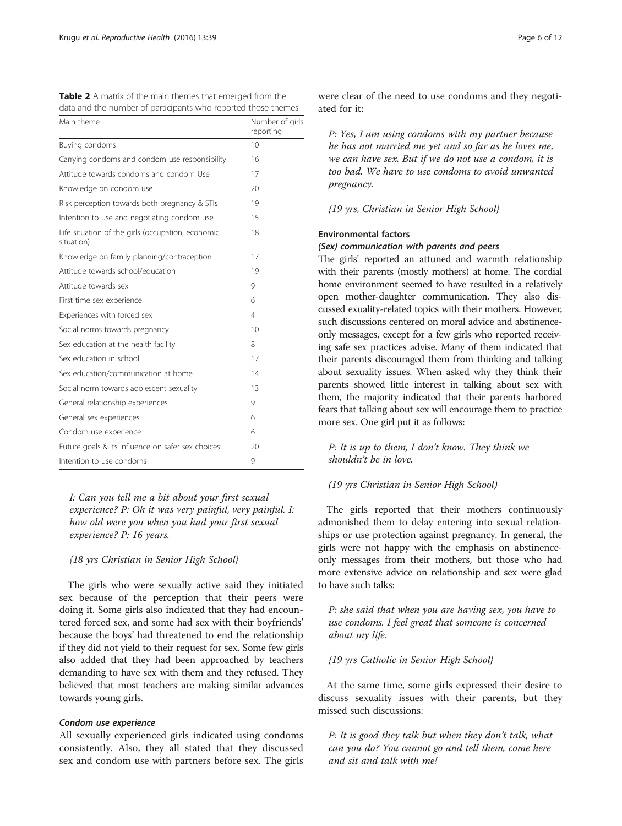<span id="page-6-0"></span>

|  | Table 2 A matrix of the main themes that emerged from the |                                                               |
|--|-----------------------------------------------------------|---------------------------------------------------------------|
|  |                                                           | data and the number of participants who reported those themes |

| Main theme                                                      | Number of girls<br>reporting |
|-----------------------------------------------------------------|------------------------------|
| Buying condoms                                                  | 10                           |
| Carrying condoms and condom use responsibility                  | 16                           |
| Attitude towards condoms and condom Use                         | 17                           |
| Knowledge on condom use                                         | 20                           |
| Risk perception towards both pregnancy & STIs                   | 19                           |
| Intention to use and negotiating condom use                     | 15                           |
| Life situation of the girls (occupation, economic<br>situation) | 18                           |
| Knowledge on family planning/contraception                      | 17                           |
| Attitude towards school/education                               | 19                           |
| Attitude towards sex                                            | 9                            |
| First time sex experience                                       | 6                            |
| Experiences with forced sex                                     | $\overline{4}$               |
| Social norms towards pregnancy                                  | 10                           |
| Sex education at the health facility                            | 8                            |
| Sex education in school                                         | 17                           |
| Sex education/communication at home                             | 14                           |
| Social norm towards adolescent sexuality                        | 13                           |
| General relationship experiences                                | 9                            |
| General sex experiences                                         | 6                            |
| Condom use experience                                           | 6                            |
| Future goals & its influence on safer sex choices               | 20                           |
| Intention to use condoms                                        | 9                            |

I: Can you tell me a bit about your first sexual experience? P: Oh it was very painful, very painful. I: how old were you when you had your first sexual experience? P: 16 years.

{18 yrs Christian in Senior High School}

The girls who were sexually active said they initiated sex because of the perception that their peers were doing it. Some girls also indicated that they had encountered forced sex, and some had sex with their boyfriends' because the boys' had threatened to end the relationship if they did not yield to their request for sex. Some few girls also added that they had been approached by teachers demanding to have sex with them and they refused. They believed that most teachers are making similar advances towards young girls.

#### Condom use experience

All sexually experienced girls indicated using condoms consistently. Also, they all stated that they discussed sex and condom use with partners before sex. The girls were clear of the need to use condoms and they negotiated for it:

P: Yes, I am using condoms with my partner because he has not married me yet and so far as he loves me, we can have sex. But if we do not use a condom, it is too bad. We have to use condoms to avoid unwanted pregnancy.

{19 yrs, Christian in Senior High School}

## Environmental factors

#### (Sex) communication with parents and peers

The girls' reported an attuned and warmth relationship with their parents (mostly mothers) at home. The cordial home environment seemed to have resulted in a relatively open mother-daughter communication. They also discussed exuality-related topics with their mothers. However, such discussions centered on moral advice and abstinenceonly messages, except for a few girls who reported receiving safe sex practices advise. Many of them indicated that their parents discouraged them from thinking and talking about sexuality issues. When asked why they think their parents showed little interest in talking about sex with them, the majority indicated that their parents harbored fears that talking about sex will encourage them to practice more sex. One girl put it as follows:

# P: It is up to them, I don't know. They think we shouldn't be in love.

## (19 yrs Christian in Senior High School)

The girls reported that their mothers continuously admonished them to delay entering into sexual relationships or use protection against pregnancy. In general, the girls were not happy with the emphasis on abstinenceonly messages from their mothers, but those who had more extensive advice on relationship and sex were glad to have such talks:

P: she said that when you are having sex, you have to use condoms. I feel great that someone is concerned about my life.

{19 yrs Catholic in Senior High School}

At the same time, some girls expressed their desire to discuss sexuality issues with their parents, but they missed such discussions:

P: It is good they talk but when they don't talk, what can you do? You cannot go and tell them, come here and sit and talk with me!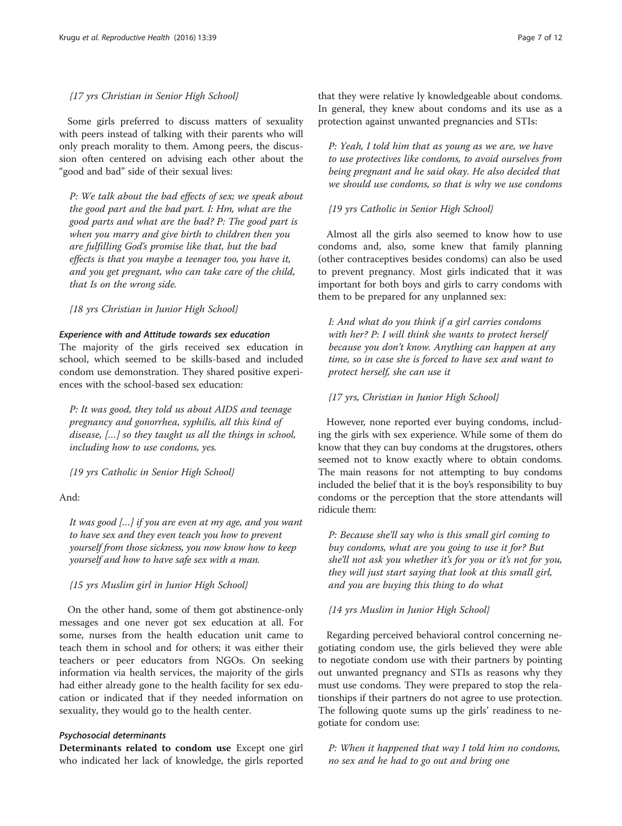## {17 yrs Christian in Senior High School}

Some girls preferred to discuss matters of sexuality with peers instead of talking with their parents who will only preach morality to them. Among peers, the discussion often centered on advising each other about the "good and bad" side of their sexual lives:

P: We talk about the bad effects of sex; we speak about the good part and the bad part. I: Hm, what are the good parts and what are the bad? P: The good part is when you marry and give birth to children then you are fulfilling God's promise like that, but the bad effects is that you maybe a teenager too, you have it, and you get pregnant, who can take care of the child, that Is on the wrong side.

{18 yrs Christian in Junior High School}

#### Experience with and Attitude towards sex education

The majority of the girls received sex education in school, which seemed to be skills-based and included condom use demonstration. They shared positive experiences with the school-based sex education:

P: It was good, they told us about AIDS and teenage pregnancy and gonorrhea, syphilis, all this kind of disease, […] so they taught us all the things in school, including how to use condoms, yes.

{19 yrs Catholic in Senior High School}

#### And:

It was good […] if you are even at my age, and you want to have sex and they even teach you how to prevent yourself from those sickness, you now know how to keep yourself and how to have safe sex with a man.

## {15 yrs Muslim girl in Junior High School}

On the other hand, some of them got abstinence-only messages and one never got sex education at all. For some, nurses from the health education unit came to teach them in school and for others; it was either their teachers or peer educators from NGOs. On seeking information via health services, the majority of the girls had either already gone to the health facility for sex education or indicated that if they needed information on sexuality, they would go to the health center.

## Psychosocial determinants

Determinants related to condom use Except one girl who indicated her lack of knowledge, the girls reported

that they were relative ly knowledgeable about condoms. In general, they knew about condoms and its use as a protection against unwanted pregnancies and STIs:

P: Yeah, I told him that as young as we are, we have to use protectives like condoms, to avoid ourselves from being pregnant and he said okay. He also decided that we should use condoms, so that is why we use condoms

### {19 yrs Catholic in Senior High School}

Almost all the girls also seemed to know how to use condoms and, also, some knew that family planning (other contraceptives besides condoms) can also be used to prevent pregnancy. Most girls indicated that it was important for both boys and girls to carry condoms with them to be prepared for any unplanned sex:

I: And what do you think if a girl carries condoms with her? P: I will think she wants to protect herself because you don't know. Anything can happen at any time, so in case she is forced to have sex and want to protect herself, she can use it

#### {17 yrs, Christian in Junior High School}

However, none reported ever buying condoms, including the girls with sex experience. While some of them do know that they can buy condoms at the drugstores, others seemed not to know exactly where to obtain condoms. The main reasons for not attempting to buy condoms included the belief that it is the boy's responsibility to buy condoms or the perception that the store attendants will ridicule them:

P: Because she'll say who is this small girl coming to buy condoms, what are you going to use it for? But she'll not ask you whether it's for you or it's not for you, they will just start saying that look at this small girl, and you are buying this thing to do what

#### {14 yrs Muslim in Junior High School}

Regarding perceived behavioral control concerning negotiating condom use, the girls believed they were able to negotiate condom use with their partners by pointing out unwanted pregnancy and STIs as reasons why they must use condoms. They were prepared to stop the relationships if their partners do not agree to use protection. The following quote sums up the girls' readiness to negotiate for condom use:

P: When it happened that way I told him no condoms, no sex and he had to go out and bring one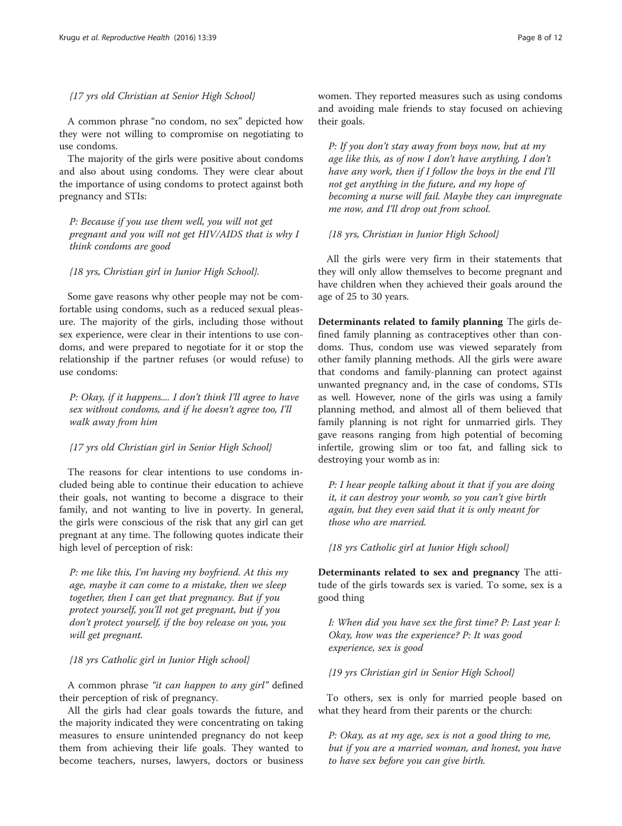## {17 yrs old Christian at Senior High School}

A common phrase "no condom, no sex" depicted how they were not willing to compromise on negotiating to use condoms.

The majority of the girls were positive about condoms and also about using condoms. They were clear about the importance of using condoms to protect against both pregnancy and STIs:

P: Because if you use them well, you will not get pregnant and you will not get HIV/AIDS that is why I think condoms are good

{18 yrs, Christian girl in Junior High School}.

Some gave reasons why other people may not be comfortable using condoms, such as a reduced sexual pleasure. The majority of the girls, including those without sex experience, were clear in their intentions to use condoms, and were prepared to negotiate for it or stop the relationship if the partner refuses (or would refuse) to use condoms:

P: Okay, if it happens.... I don't think I'll agree to have sex without condoms, and if he doesn't agree too, I'll walk away from him

#### {17 yrs old Christian girl in Senior High School}

The reasons for clear intentions to use condoms included being able to continue their education to achieve their goals, not wanting to become a disgrace to their family, and not wanting to live in poverty. In general, the girls were conscious of the risk that any girl can get pregnant at any time. The following quotes indicate their high level of perception of risk:

P: me like this, I'm having my boyfriend. At this my age, maybe it can come to a mistake, then we sleep together, then I can get that pregnancy. But if you protect yourself, you'll not get pregnant, but if you don't protect yourself, if the boy release on you, you will get pregnant.

{18 yrs Catholic girl in Junior High school}

A common phrase "it can happen to any girl" defined their perception of risk of pregnancy.

All the girls had clear goals towards the future, and the majority indicated they were concentrating on taking measures to ensure unintended pregnancy do not keep them from achieving their life goals. They wanted to become teachers, nurses, lawyers, doctors or business women. They reported measures such as using condoms and avoiding male friends to stay focused on achieving their goals.

P: If you don't stay away from boys now, but at my age like this, as of now I don't have anything, I don't have any work, then if I follow the boys in the end I'll not get anything in the future, and my hope of becoming a nurse will fail. Maybe they can impregnate me now, and I'll drop out from school.

{18 yrs, Christian in Junior High School}

All the girls were very firm in their statements that they will only allow themselves to become pregnant and have children when they achieved their goals around the age of 25 to 30 years.

Determinants related to family planning The girls defined family planning as contraceptives other than condoms. Thus, condom use was viewed separately from other family planning methods. All the girls were aware that condoms and family-planning can protect against unwanted pregnancy and, in the case of condoms, STIs as well. However, none of the girls was using a family planning method, and almost all of them believed that family planning is not right for unmarried girls. They gave reasons ranging from high potential of becoming infertile, growing slim or too fat, and falling sick to destroying your womb as in:

P: I hear people talking about it that if you are doing it, it can destroy your womb, so you can't give birth again, but they even said that it is only meant for those who are married.

{18 yrs Catholic girl at Junior High school}

Determinants related to sex and pregnancy The attitude of the girls towards sex is varied. To some, sex is a good thing

I: When did you have sex the first time? P: Last year I: Okay, how was the experience? P: It was good experience, sex is good

{19 yrs Christian girl in Senior High School}

To others, sex is only for married people based on what they heard from their parents or the church:

P: Okay, as at my age, sex is not a good thing to me, but if you are a married woman, and honest, you have to have sex before you can give birth.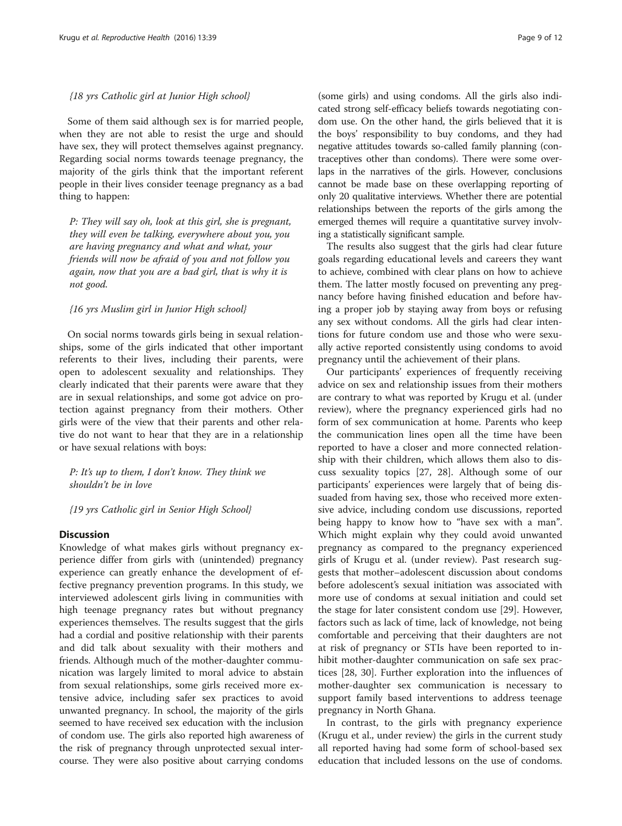## {18 yrs Catholic girl at Junior High school}

Some of them said although sex is for married people, when they are not able to resist the urge and should have sex, they will protect themselves against pregnancy. Regarding social norms towards teenage pregnancy, the majority of the girls think that the important referent people in their lives consider teenage pregnancy as a bad thing to happen:

P: They will say oh, look at this girl, she is pregnant, they will even be talking, everywhere about you, you are having pregnancy and what and what, your friends will now be afraid of you and not follow you again, now that you are a bad girl, that is why it is not good.

#### {16 yrs Muslim girl in Junior High school}

On social norms towards girls being in sexual relationships, some of the girls indicated that other important referents to their lives, including their parents, were open to adolescent sexuality and relationships. They clearly indicated that their parents were aware that they are in sexual relationships, and some got advice on protection against pregnancy from their mothers. Other girls were of the view that their parents and other relative do not want to hear that they are in a relationship or have sexual relations with boys:

P: It's up to them, I don't know. They think we shouldn't be in love

{19 yrs Catholic girl in Senior High School}

## **Discussion**

Knowledge of what makes girls without pregnancy experience differ from girls with (unintended) pregnancy experience can greatly enhance the development of effective pregnancy prevention programs. In this study, we interviewed adolescent girls living in communities with high teenage pregnancy rates but without pregnancy experiences themselves. The results suggest that the girls had a cordial and positive relationship with their parents and did talk about sexuality with their mothers and friends. Although much of the mother-daughter communication was largely limited to moral advice to abstain from sexual relationships, some girls received more extensive advice, including safer sex practices to avoid unwanted pregnancy. In school, the majority of the girls seemed to have received sex education with the inclusion of condom use. The girls also reported high awareness of the risk of pregnancy through unprotected sexual intercourse. They were also positive about carrying condoms

(some girls) and using condoms. All the girls also indicated strong self-efficacy beliefs towards negotiating condom use. On the other hand, the girls believed that it is the boys' responsibility to buy condoms, and they had negative attitudes towards so-called family planning (contraceptives other than condoms). There were some overlaps in the narratives of the girls. However, conclusions cannot be made base on these overlapping reporting of only 20 qualitative interviews. Whether there are potential relationships between the reports of the girls among the emerged themes will require a quantitative survey involving a statistically significant sample.

The results also suggest that the girls had clear future goals regarding educational levels and careers they want to achieve, combined with clear plans on how to achieve them. The latter mostly focused on preventing any pregnancy before having finished education and before having a proper job by staying away from boys or refusing any sex without condoms. All the girls had clear intentions for future condom use and those who were sexually active reported consistently using condoms to avoid pregnancy until the achievement of their plans.

Our participants' experiences of frequently receiving advice on sex and relationship issues from their mothers are contrary to what was reported by Krugu et al. (under review), where the pregnancy experienced girls had no form of sex communication at home. Parents who keep the communication lines open all the time have been reported to have a closer and more connected relationship with their children, which allows them also to discuss sexuality topics [[27](#page-12-0), [28\]](#page-12-0). Although some of our participants' experiences were largely that of being dissuaded from having sex, those who received more extensive advice, including condom use discussions, reported being happy to know how to "have sex with a man". Which might explain why they could avoid unwanted pregnancy as compared to the pregnancy experienced girls of Krugu et al. (under review). Past research suggests that mother–adolescent discussion about condoms before adolescent's sexual initiation was associated with more use of condoms at sexual initiation and could set the stage for later consistent condom use [\[29\]](#page-12-0). However, factors such as lack of time, lack of knowledge, not being comfortable and perceiving that their daughters are not at risk of pregnancy or STIs have been reported to inhibit mother-daughter communication on safe sex practices [[28, 30](#page-12-0)]. Further exploration into the influences of mother-daughter sex communication is necessary to support family based interventions to address teenage pregnancy in North Ghana.

In contrast, to the girls with pregnancy experience (Krugu et al., under review) the girls in the current study all reported having had some form of school-based sex education that included lessons on the use of condoms.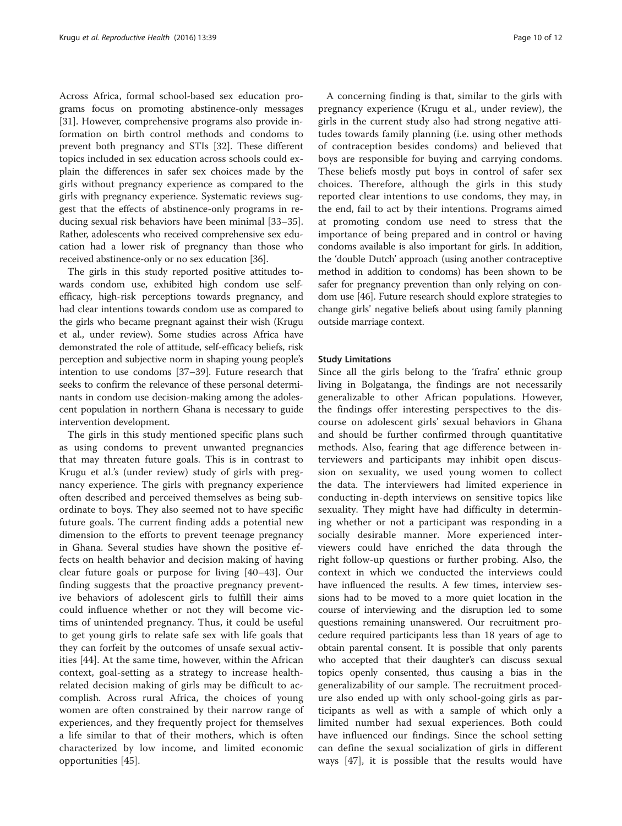Across Africa, formal school-based sex education programs focus on promoting abstinence-only messages [[31\]](#page-12-0). However, comprehensive programs also provide information on birth control methods and condoms to prevent both pregnancy and STIs [\[32](#page-12-0)]. These different topics included in sex education across schools could explain the differences in safer sex choices made by the girls without pregnancy experience as compared to the girls with pregnancy experience. Systematic reviews suggest that the effects of abstinence-only programs in reducing sexual risk behaviors have been minimal [[33](#page-12-0)–[35](#page-12-0)]. Rather, adolescents who received comprehensive sex education had a lower risk of pregnancy than those who received abstinence-only or no sex education [\[36\]](#page-12-0).

The girls in this study reported positive attitudes towards condom use, exhibited high condom use selfefficacy, high-risk perceptions towards pregnancy, and had clear intentions towards condom use as compared to the girls who became pregnant against their wish (Krugu et al., under review). Some studies across Africa have demonstrated the role of attitude, self-efficacy beliefs, risk perception and subjective norm in shaping young people's intention to use condoms [[37](#page-12-0)–[39\]](#page-12-0). Future research that seeks to confirm the relevance of these personal determinants in condom use decision-making among the adolescent population in northern Ghana is necessary to guide intervention development.

The girls in this study mentioned specific plans such as using condoms to prevent unwanted pregnancies that may threaten future goals. This is in contrast to Krugu et al.'s (under review) study of girls with pregnancy experience. The girls with pregnancy experience often described and perceived themselves as being subordinate to boys. They also seemed not to have specific future goals. The current finding adds a potential new dimension to the efforts to prevent teenage pregnancy in Ghana. Several studies have shown the positive effects on health behavior and decision making of having clear future goals or purpose for living [\[40](#page-12-0)–[43](#page-12-0)]. Our finding suggests that the proactive pregnancy preventive behaviors of adolescent girls to fulfill their aims could influence whether or not they will become victims of unintended pregnancy. Thus, it could be useful to get young girls to relate safe sex with life goals that they can forfeit by the outcomes of unsafe sexual activities [[44\]](#page-12-0). At the same time, however, within the African context, goal-setting as a strategy to increase healthrelated decision making of girls may be difficult to accomplish. Across rural Africa, the choices of young women are often constrained by their narrow range of experiences, and they frequently project for themselves a life similar to that of their mothers, which is often characterized by low income, and limited economic opportunities [[45\]](#page-12-0).

A concerning finding is that, similar to the girls with pregnancy experience (Krugu et al., under review), the girls in the current study also had strong negative attitudes towards family planning (i.e. using other methods of contraception besides condoms) and believed that boys are responsible for buying and carrying condoms. These beliefs mostly put boys in control of safer sex choices. Therefore, although the girls in this study reported clear intentions to use condoms, they may, in the end, fail to act by their intentions. Programs aimed at promoting condom use need to stress that the importance of being prepared and in control or having condoms available is also important for girls. In addition, the 'double Dutch' approach (using another contraceptive method in addition to condoms) has been shown to be safer for pregnancy prevention than only relying on condom use [\[46\]](#page-12-0). Future research should explore strategies to change girls' negative beliefs about using family planning outside marriage context.

#### Study Limitations

Since all the girls belong to the 'frafra' ethnic group living in Bolgatanga, the findings are not necessarily generalizable to other African populations. However, the findings offer interesting perspectives to the discourse on adolescent girls' sexual behaviors in Ghana and should be further confirmed through quantitative methods. Also, fearing that age difference between interviewers and participants may inhibit open discussion on sexuality, we used young women to collect the data. The interviewers had limited experience in conducting in-depth interviews on sensitive topics like sexuality. They might have had difficulty in determining whether or not a participant was responding in a socially desirable manner. More experienced interviewers could have enriched the data through the right follow-up questions or further probing. Also, the context in which we conducted the interviews could have influenced the results. A few times, interview sessions had to be moved to a more quiet location in the course of interviewing and the disruption led to some questions remaining unanswered. Our recruitment procedure required participants less than 18 years of age to obtain parental consent. It is possible that only parents who accepted that their daughter's can discuss sexual topics openly consented, thus causing a bias in the generalizability of our sample. The recruitment procedure also ended up with only school-going girls as participants as well as with a sample of which only a limited number had sexual experiences. Both could have influenced our findings. Since the school setting can define the sexual socialization of girls in different ways [\[47](#page-12-0)], it is possible that the results would have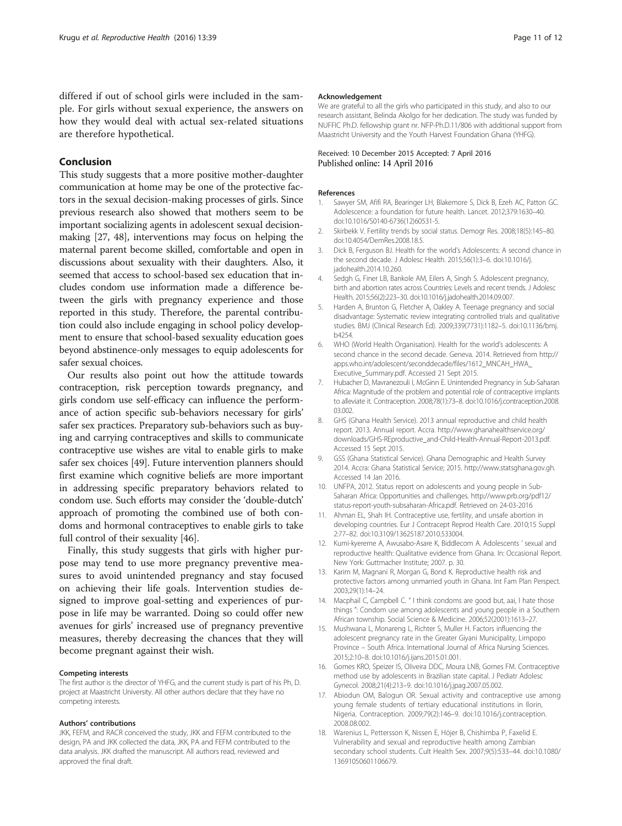<span id="page-11-0"></span>differed if out of school girls were included in the sample. For girls without sexual experience, the answers on how they would deal with actual sex-related situations are therefore hypothetical.

#### Conclusion

This study suggests that a more positive mother-daughter communication at home may be one of the protective factors in the sexual decision-making processes of girls. Since previous research also showed that mothers seem to be important socializing agents in adolescent sexual decisionmaking [\[27](#page-12-0), [48\]](#page-12-0), interventions may focus on helping the maternal parent become skilled, comfortable and open in discussions about sexuality with their daughters. Also, it seemed that access to school-based sex education that includes condom use information made a difference between the girls with pregnancy experience and those reported in this study. Therefore, the parental contribution could also include engaging in school policy development to ensure that school-based sexuality education goes beyond abstinence-only messages to equip adolescents for safer sexual choices.

Our results also point out how the attitude towards contraception, risk perception towards pregnancy, and girls condom use self-efficacy can influence the performance of action specific sub-behaviors necessary for girls' safer sex practices. Preparatory sub-behaviors such as buying and carrying contraceptives and skills to communicate contraceptive use wishes are vital to enable girls to make safer sex choices [\[49](#page-12-0)]. Future intervention planners should first examine which cognitive beliefs are more important in addressing specific preparatory behaviors related to condom use. Such efforts may consider the 'double-dutch' approach of promoting the combined use of both condoms and hormonal contraceptives to enable girls to take full control of their sexuality [[46](#page-12-0)].

Finally, this study suggests that girls with higher purpose may tend to use more pregnancy preventive measures to avoid unintended pregnancy and stay focused on achieving their life goals. Intervention studies designed to improve goal-setting and experiences of purpose in life may be warranted. Doing so could offer new avenues for girls' increased use of pregnancy preventive measures, thereby decreasing the chances that they will become pregnant against their wish.

#### Competing interests

The first author is the director of YHFG, and the current study is part of his Ph, D. project at Maastricht University. All other authors declare that they have no competing interests.

#### Authors' contributions

JKK, FEFM, and RACR conceived the study, JKK and FEFM contributed to the design, PA and JKK collected the data, JKK, PA and FEFM contributed to the data analysis. JKK drafted the manuscript. All authors read, reviewed and approved the final draft.

#### Acknowledgement

We are grateful to all the girls who participated in this study, and also to our research assistant, Belinda Akolgo for her dedication. The study was funded by NUFFIC Ph.D. fellowship grant nr. NFP-Ph.D.11/806 with additional support from Maastricht University and the Youth Harvest Foundation Ghana (YHFG).

#### Received: 10 December 2015 Accepted: 7 April 2016 Published online: 14 April 2016

#### References

- Sawyer SM, Afifi RA, Bearinger LH, Blakemore S, Dick B, Ezeh AC, Patton GC. Adolescence: a foundation for future health. Lancet. 2012;379:1630–40. doi[:10.1016/S0140-6736\(12\)60531-5.](http://dx.doi.org/10.1016/S0140-6736(12)60531-5)
- 2. Skirbekk V. Fertility trends by social status. Demogr Res. 2008;18(5):145–80. doi[:10.4054/DemRes.2008.18.5.](http://dx.doi.org/10.4054/DemRes.2008.18.5)
- 3. Dick B, Ferguson BJ. Health for the world's Adolescents: A second chance in the second decade. J Adolesc Health. 2015;56(1):3–6. doi:[10.1016/j.](http://dx.doi.org/10.1016/j.jadohealth.2014.10.260) [jadohealth.2014.10.260](http://dx.doi.org/10.1016/j.jadohealth.2014.10.260).
- 4. Sedgh G, Finer LB, Bankole AM, Eilers A, Singh S. Adolescent pregnancy, birth and abortion rates across Countries: Levels and recent trends. J Adolesc Health. 2015;56(2):223–30. doi:[10.1016/j.jadohealth.2014.09.007](http://dx.doi.org/10.1016/j.jadohealth.2014.09.007).
- 5. Harden A, Brunton G, Fletcher A, Oakley A. Teenage pregnancy and social disadvantage: Systematic review integrating controlled trials and qualitative studies. BMJ (Clinical Research Ed). 2009;339(7731):1182–5. doi:[10.1136/bmj.](http://dx.doi.org/10.1136/bmj.b4254) [b4254](http://dx.doi.org/10.1136/bmj.b4254).
- 6. WHO (World Health Organisation). Health for the world's adolescents: A second chance in the second decade. Geneva. 2014. Retrieved from [http://](http://apps.who.int/adolescent/seconddecade/files/1612_MNCAH_HWA_Executive_Summary.pdf) [apps.who.int/adolescent/seconddecade/files/1612\\_MNCAH\\_HWA\\_](http://apps.who.int/adolescent/seconddecade/files/1612_MNCAH_HWA_Executive_Summary.pdf) [Executive\\_Summary.pdf.](http://apps.who.int/adolescent/seconddecade/files/1612_MNCAH_HWA_Executive_Summary.pdf) Accessed 21 Sept 2015.
- 7. Hubacher D, Mavranezouli I, McGinn E. Unintended Pregnancy in Sub-Saharan Africa: Magnitude of the problem and potential role of contraceptive implants to alleviate it. Contraception. 2008;78(1):73–8. doi:[10.1016/j.contraception.2008.](http://dx.doi.org/10.1016/j.contraception.2008.03.002) [03.002](http://dx.doi.org/10.1016/j.contraception.2008.03.002).
- 8. GHS (Ghana Health Service). 2013 annual reproductive and child health report. 2013. Annual report. Accra. [http://www.ghanahealthservice.org/](http://www.ghanahealthservice.org/downloads/GHS-REproductive_and-Child-Health-Annual-Report-2013.pdf) [downloads/GHS-REproductive\\_and-Child-Health-Annual-Report-2013.pdf.](http://www.ghanahealthservice.org/downloads/GHS-REproductive_and-Child-Health-Annual-Report-2013.pdf) Accessed 15 Sept 2015.
- 9. GSS (Ghana Statistical Service). Ghana Demographic and Health Survey 2014. Accra: Ghana Statistical Service; 2015. [http://www.statsghana.gov.gh.](http://www.statsghana.gov.gh/) Accessed 14 Jan 2016.
- 10. UNFPA, 2012. Status report on adolescents and young people in Sub-Saharan Africa: Opportunities and challenges. [http://www.prb.org/pdf12/](http://www.prb.org/pdf12/status-report-youth-subsaharan-Africa.pdf) [status-report-youth-subsaharan-Africa.pdf.](http://www.prb.org/pdf12/status-report-youth-subsaharan-Africa.pdf) Retrieved on 24-03-2016
- 11. Ahman EL, Shah IH. Contraceptive use, fertility, and unsafe abortion in developing countries. Eur J Contracept Reprod Health Care. 2010;15 Suppl 2:77–82. doi[:10.3109/13625187.2010.533004](http://dx.doi.org/10.3109/13625187.2010.533004).
- 12. Kumi-kyereme A, Awusabo-Asare K, Biddlecom A. Adolescents ' sexual and reproductive health: Qualitative evidence from Ghana. In: Occasional Report. New York: Guttmacher Institute; 2007. p. 30.
- 13. Karim M, Magnani R, Morgan G, Bond K. Reproductive health risk and protective factors among unmarried youth in Ghana. Int Fam Plan Perspect. 2003;29(1):14–24.
- 14. Macphail C, Campbell C. " I think condoms are good but, aai, I hate those things ": Condom use among adolescents and young people in a Southern African township. Social Science & Medicine. 2006;52(2001):1613–27.
- 15. Mushwana L, Monareng L, Richter S, Muller H. Factors influencing the adolescent pregnancy rate in the Greater Giyani Municipality, Limpopo Province – South Africa. International Journal of Africa Nursing Sciences. 2015;2:10–8. doi:[10.1016/j.ijans.2015.01.001](http://dx.doi.org/10.1016/j.ijans.2015.01.001).
- 16. Gomes KRO, Speizer IS, Oliveira DDC, Moura LNB, Gomes FM. Contraceptive method use by adolescents in Brazilian state capital. J Pediatr Adolesc Gynecol. 2008;21(4):213–9. doi:[10.1016/j.jpag.2007.05.002](http://dx.doi.org/10.1016/j.jpag.2007.05.002).
- 17. Abiodun OM, Balogun OR. Sexual activity and contraceptive use among young female students of tertiary educational institutions in Ilorin, Nigeria. Contraception. 2009;79(2):146–9. doi:[10.1016/j.contraception.](http://dx.doi.org/10.1016/j.contraception.2008.08.002) [2008.08.002.](http://dx.doi.org/10.1016/j.contraception.2008.08.002)
- 18. Warenius L, Pettersson K, Nissen E, Höjer B, Chishimba P, Faxelid E. Vulnerability and sexual and reproductive health among Zambian secondary school students. Cult Health Sex. 2007;9(5):533–44. doi[:10.1080/](http://dx.doi.org/10.1080/13691050601106679) [13691050601106679](http://dx.doi.org/10.1080/13691050601106679).